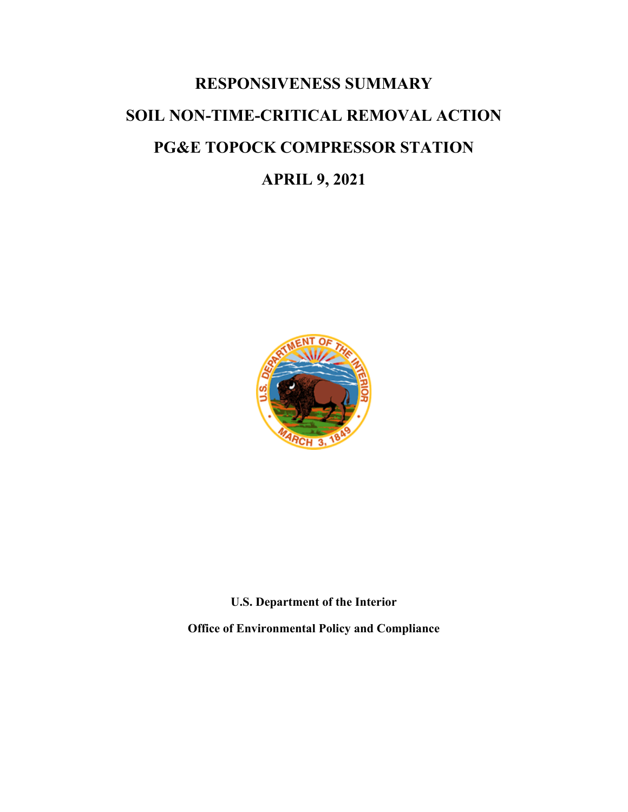# **RESPONSIVENESS SUMMARY SOIL NON-TIME-CRITICAL REMOVAL ACTION PG&E TOPOCK COMPRESSOR STATION**

## **APRIL 9, 2021**



**U.S. Department of the Interior**

**Office of Environmental Policy and Compliance**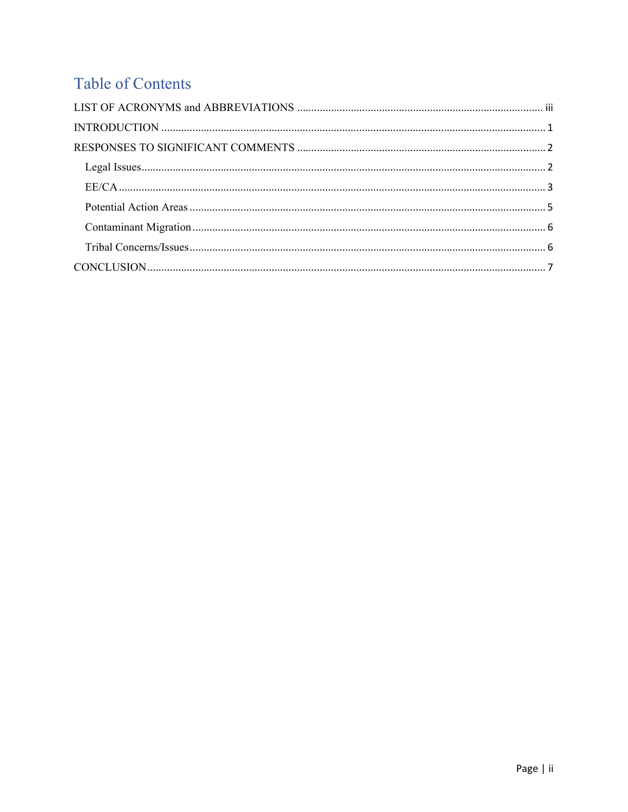# Table of Contents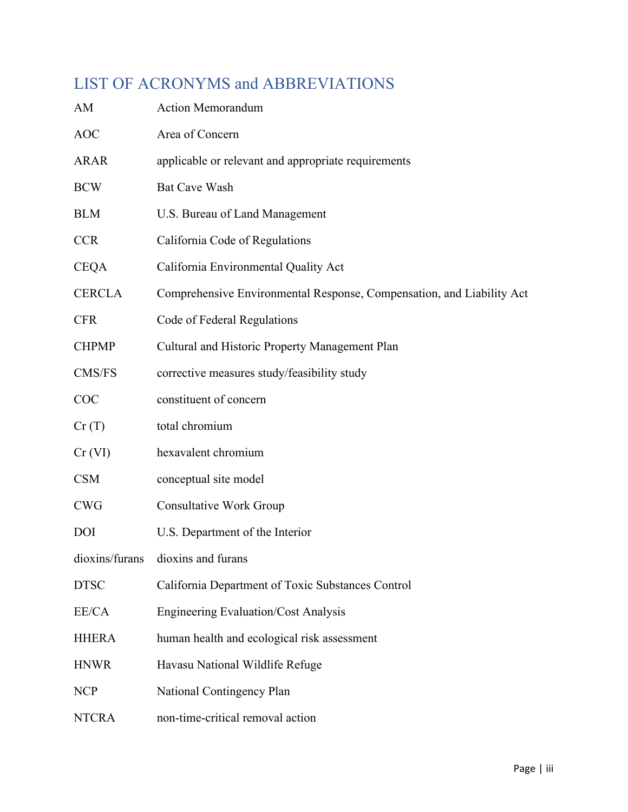# <span id="page-2-0"></span>LIST OF ACRONYMS and ABBREVIATIONS

| AM             | <b>Action Memorandum</b>                                              |
|----------------|-----------------------------------------------------------------------|
| <b>AOC</b>     | Area of Concern                                                       |
| <b>ARAR</b>    | applicable or relevant and appropriate requirements                   |
| <b>BCW</b>     | <b>Bat Cave Wash</b>                                                  |
| <b>BLM</b>     | U.S. Bureau of Land Management                                        |
| <b>CCR</b>     | California Code of Regulations                                        |
| <b>CEQA</b>    | California Environmental Quality Act                                  |
| <b>CERCLA</b>  | Comprehensive Environmental Response, Compensation, and Liability Act |
| <b>CFR</b>     | Code of Federal Regulations                                           |
| <b>CHPMP</b>   | Cultural and Historic Property Management Plan                        |
| CMS/FS         | corrective measures study/feasibility study                           |
| COC            | constituent of concern                                                |
| Cr(T)          | total chromium                                                        |
| Cr (VI)        | hexavalent chromium                                                   |
| <b>CSM</b>     | conceptual site model                                                 |
| <b>CWG</b>     | <b>Consultative Work Group</b>                                        |
| <b>DOI</b>     | U.S. Department of the Interior                                       |
| dioxins/furans | dioxins and furans                                                    |
| <b>DTSC</b>    | California Department of Toxic Substances Control                     |
| EE/CA          | <b>Engineering Evaluation/Cost Analysis</b>                           |
| <b>HHERA</b>   | human health and ecological risk assessment                           |
| <b>HNWR</b>    | Havasu National Wildlife Refuge                                       |
| <b>NCP</b>     | National Contingency Plan                                             |
| <b>NTCRA</b>   | non-time-critical removal action                                      |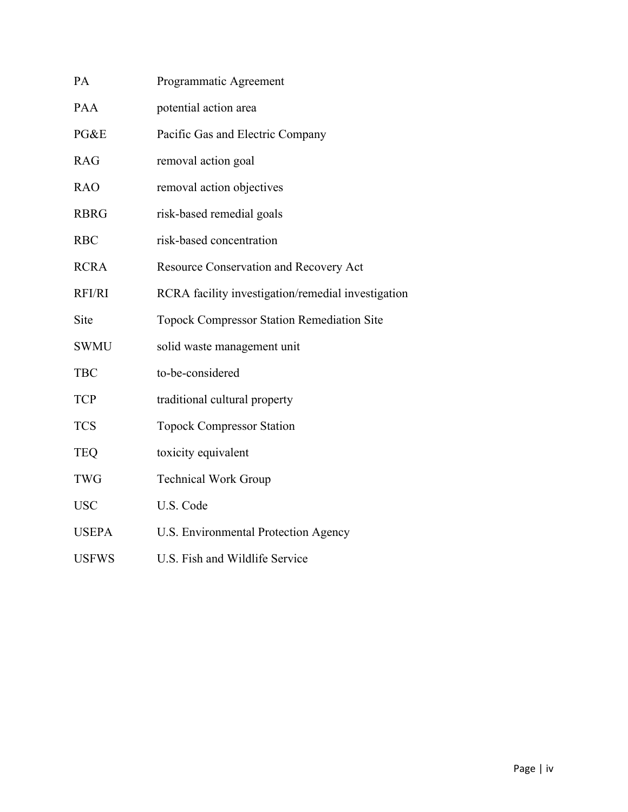| PA            | Programmatic Agreement                             |  |  |  |
|---------------|----------------------------------------------------|--|--|--|
| PAA           | potential action area                              |  |  |  |
| PG&E          | Pacific Gas and Electric Company                   |  |  |  |
| <b>RAG</b>    | removal action goal                                |  |  |  |
| <b>RAO</b>    | removal action objectives                          |  |  |  |
| <b>RBRG</b>   | risk-based remedial goals                          |  |  |  |
| <b>RBC</b>    | risk-based concentration                           |  |  |  |
| <b>RCRA</b>   | Resource Conservation and Recovery Act             |  |  |  |
| <b>RFI/RI</b> | RCRA facility investigation/remedial investigation |  |  |  |
| Site          | <b>Topock Compressor Station Remediation Site</b>  |  |  |  |
| <b>SWMU</b>   | solid waste management unit                        |  |  |  |
| <b>TBC</b>    | to-be-considered                                   |  |  |  |
| <b>TCP</b>    | traditional cultural property                      |  |  |  |
| <b>TCS</b>    | <b>Topock Compressor Station</b>                   |  |  |  |
| <b>TEQ</b>    | toxicity equivalent                                |  |  |  |
| <b>TWG</b>    | <b>Technical Work Group</b>                        |  |  |  |
| <b>USC</b>    | U.S. Code                                          |  |  |  |
| <b>USEPA</b>  | U.S. Environmental Protection Agency               |  |  |  |
| <b>USFWS</b>  | U.S. Fish and Wildlife Service                     |  |  |  |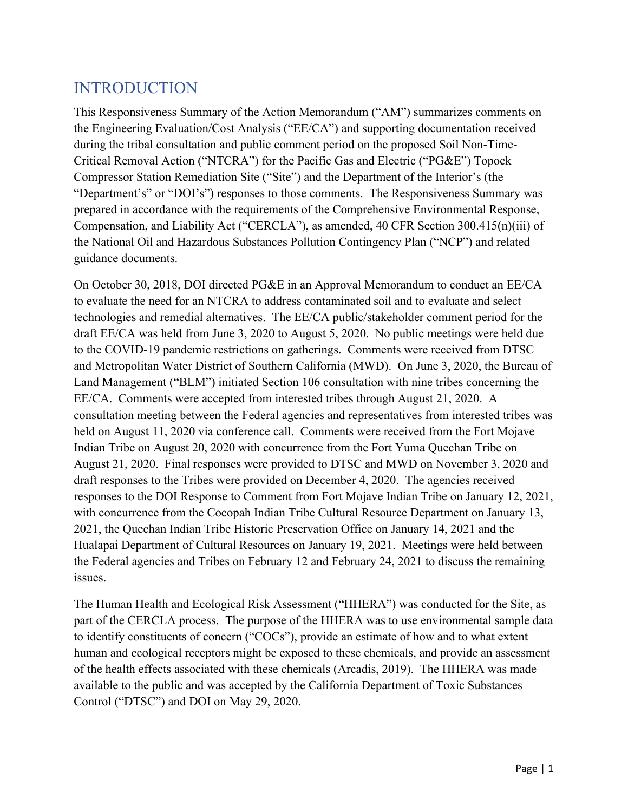### <span id="page-4-0"></span>INTRODUCTION

This Responsiveness Summary of the Action Memorandum ("AM") summarizes comments on the Engineering Evaluation/Cost Analysis ("EE/CA") and supporting documentation received during the tribal consultation and public comment period on the proposed Soil Non-Time-Critical Removal Action ("NTCRA") for the Pacific Gas and Electric ("PG&E") Topock Compressor Station Remediation Site ("Site") and the Department of the Interior's (the "Department's" or "DOI's") responses to those comments. The Responsiveness Summary was prepared in accordance with the requirements of the Comprehensive Environmental Response, Compensation, and Liability Act ("CERCLA"), as amended, 40 CFR Section 300.415(n)(iii) of the National Oil and Hazardous Substances Pollution Contingency Plan ("NCP") and related guidance documents.

On October 30, 2018, DOI directed PG&E in an Approval Memorandum to conduct an EE/CA to evaluate the need for an NTCRA to address contaminated soil and to evaluate and select technologies and remedial alternatives. The EE/CA public/stakeholder comment period for the draft EE/CA was held from June 3, 2020 to August 5, 2020. No public meetings were held due to the COVID-19 pandemic restrictions on gatherings. Comments were received from DTSC and Metropolitan Water District of Southern California (MWD). On June 3, 2020, the Bureau of Land Management ("BLM") initiated Section 106 consultation with nine tribes concerning the EE/CA. Comments were accepted from interested tribes through August 21, 2020. A consultation meeting between the Federal agencies and representatives from interested tribes was held on August 11, 2020 via conference call. Comments were received from the Fort Mojave Indian Tribe on August 20, 2020 with concurrence from the Fort Yuma Quechan Tribe on August 21, 2020. Final responses were provided to DTSC and MWD on November 3, 2020 and draft responses to the Tribes were provided on December 4, 2020. The agencies received responses to the DOI Response to Comment from Fort Mojave Indian Tribe on January 12, 2021, with concurrence from the Cocopah Indian Tribe Cultural Resource Department on January 13, 2021, the Quechan Indian Tribe Historic Preservation Office on January 14, 2021 and the Hualapai Department of Cultural Resources on January 19, 2021. Meetings were held between the Federal agencies and Tribes on February 12 and February 24, 2021 to discuss the remaining issues.

The Human Health and Ecological Risk Assessment ("HHERA") was conducted for the Site, as part of the CERCLA process. The purpose of the HHERA was to use environmental sample data to identify constituents of concern ("COCs"), provide an estimate of how and to what extent human and ecological receptors might be exposed to these chemicals, and provide an assessment of the health effects associated with these chemicals (Arcadis, 2019). The HHERA was made available to the public and was accepted by the California Department of Toxic Substances Control ("DTSC") and DOI on May 29, 2020.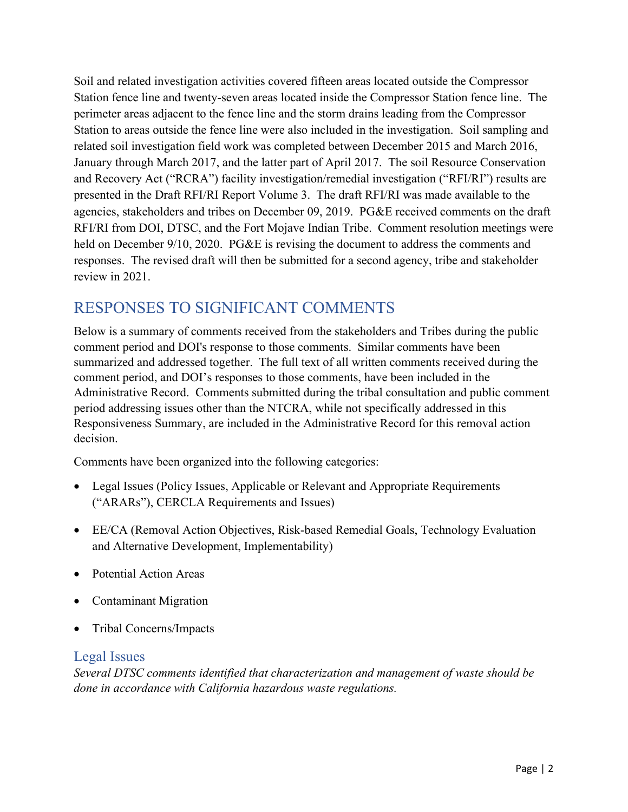Soil and related investigation activities covered fifteen areas located outside the Compressor Station fence line and twenty-seven areas located inside the Compressor Station fence line. The perimeter areas adjacent to the fence line and the storm drains leading from the Compressor Station to areas outside the fence line were also included in the investigation. Soil sampling and related soil investigation field work was completed between December 2015 and March 2016, January through March 2017, and the latter part of April 2017. The soil Resource Conservation and Recovery Act ("RCRA") facility investigation/remedial investigation ("RFI/RI") results are presented in the Draft RFI/RI Report Volume 3. The draft RFI/RI was made available to the agencies, stakeholders and tribes on December 09, 2019. PG&E received comments on the draft RFI/RI from DOI, DTSC, and the Fort Mojave Indian Tribe. Comment resolution meetings were held on December 9/10, 2020. PG&E is revising the document to address the comments and responses. The revised draft will then be submitted for a second agency, tribe and stakeholder review in 2021.

# <span id="page-5-0"></span>RESPONSES TO SIGNIFICANT COMMENTS

Below is a summary of comments received from the stakeholders and Tribes during the public comment period and DOI's response to those comments. Similar comments have been summarized and addressed together. The full text of all written comments received during the comment period, and DOI's responses to those comments, have been included in the Administrative Record. Comments submitted during the tribal consultation and public comment period addressing issues other than the NTCRA, while not specifically addressed in this Responsiveness Summary, are included in the Administrative Record for this removal action decision.

Comments have been organized into the following categories:

- Legal Issues (Policy Issues, Applicable or Relevant and Appropriate Requirements ("ARARs"), CERCLA Requirements and Issues)
- EE/CA (Removal Action Objectives, Risk-based Remedial Goals, Technology Evaluation and Alternative Development, Implementability)
- Potential Action Areas
- Contaminant Migration
- Tribal Concerns/Impacts

#### <span id="page-5-1"></span>Legal Issues

*Several DTSC comments identified that characterization and management of waste should be done in accordance with California hazardous waste regulations.*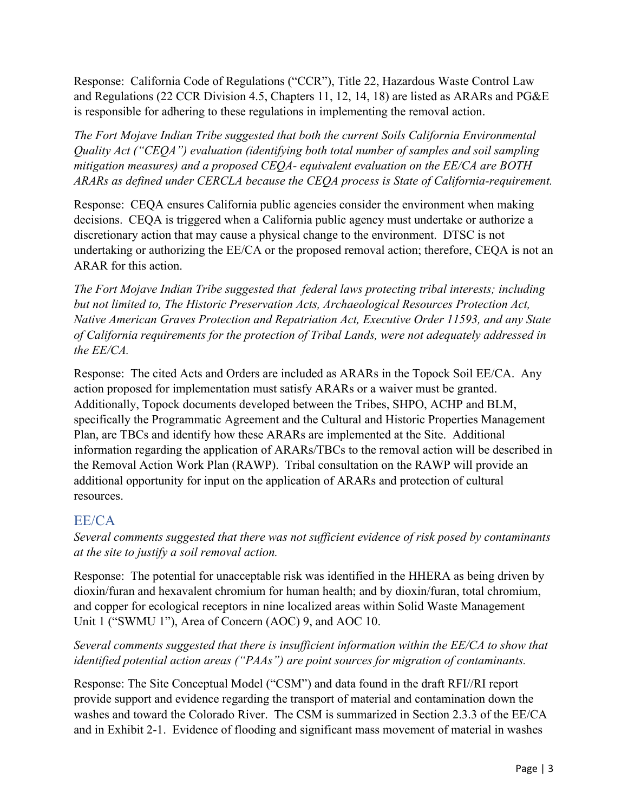Response: California Code of Regulations ("CCR"), Title 22, Hazardous Waste Control Law and Regulations (22 CCR Division 4.5, Chapters 11, 12, 14, 18) are listed as ARARs and PG&E is responsible for adhering to these regulations in implementing the removal action.

*The Fort Mojave Indian Tribe suggested that both the current Soils California Environmental Quality Act ("CEQA") evaluation (identifying both total number of samples and soil sampling mitigation measures) and a proposed CEQA- equivalent evaluation on the EE/CA are BOTH ARARs as defined under CERCLA because the CEQA process is State of California-requirement.*

Response: CEQA ensures California public agencies consider the environment when making decisions. CEQA is triggered when a California public agency must undertake or authorize a discretionary action that may cause a physical change to the environment. DTSC is not undertaking or authorizing the EE/CA or the proposed removal action; therefore, CEQA is not an ARAR for this action.

*The Fort Mojave Indian Tribe suggested that federal laws protecting tribal interests; including but not limited to, The Historic Preservation Acts, Archaeological Resources Protection Act, Native American Graves Protection and Repatriation Act, Executive Order 11593, and any State of California requirements for the protection of Tribal Lands, were not adequately addressed in the EE/CA.*

Response: The cited Acts and Orders are included as ARARs in the Topock Soil EE/CA. Any action proposed for implementation must satisfy ARARs or a waiver must be granted. Additionally, Topock documents developed between the Tribes, SHPO, ACHP and BLM, specifically the Programmatic Agreement and the Cultural and Historic Properties Management Plan, are TBCs and identify how these ARARs are implemented at the Site. Additional information regarding the application of ARARs/TBCs to the removal action will be described in the Removal Action Work Plan (RAWP). Tribal consultation on the RAWP will provide an additional opportunity for input on the application of ARARs and protection of cultural resources.

#### <span id="page-6-0"></span>EE/CA

*Several comments suggested that there was not sufficient evidence of risk posed by contaminants at the site to justify a soil removal action.*

Response: The potential for unacceptable risk was identified in the HHERA as being driven by dioxin/furan and hexavalent chromium for human health; and by dioxin/furan, total chromium, and copper for ecological receptors in nine localized areas within Solid Waste Management Unit 1 ("SWMU 1"), Area of Concern (AOC) 9, and AOC 10.

#### *Several comments suggested that there is insufficient information within the EE/CA to show that identified potential action areas ("PAAs") are point sources for migration of contaminants.*

Response: The Site Conceptual Model ("CSM") and data found in the draft RFI//RI report provide support and evidence regarding the transport of material and contamination down the washes and toward the Colorado River. The CSM is summarized in Section 2.3.3 of the EE/CA and in Exhibit 2-1. Evidence of flooding and significant mass movement of material in washes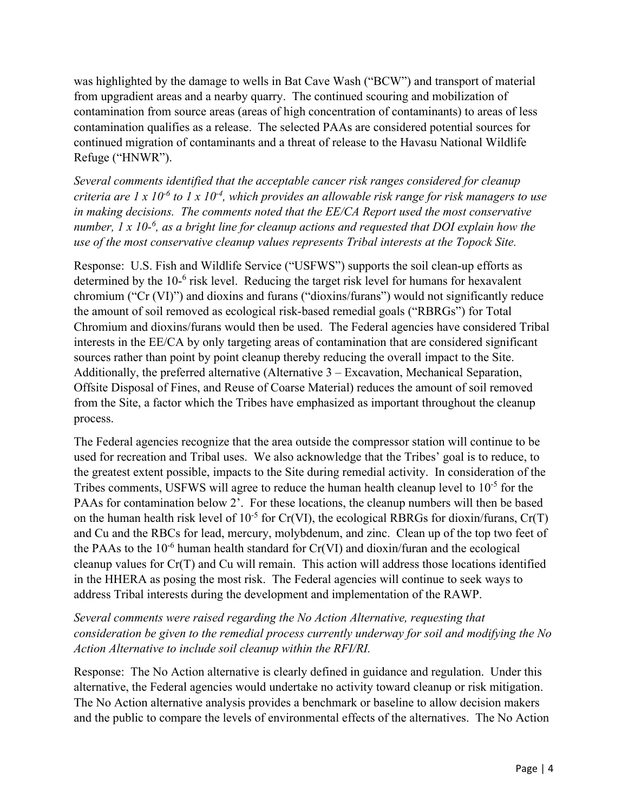was highlighted by the damage to wells in Bat Cave Wash ("BCW") and transport of material from upgradient areas and a nearby quarry. The continued scouring and mobilization of contamination from source areas (areas of high concentration of contaminants) to areas of less contamination qualifies as a release. The selected PAAs are considered potential sources for continued migration of contaminants and a threat of release to the Havasu National Wildlife Refuge ("HNWR").

*Several comments identified that the acceptable cancer risk ranges considered for cleanup criteria are 1 x 10-6 to 1 x 10-4, which provides an allowable risk range for risk managers to use in making decisions. The comments noted that the EE/CA Report used the most conservative number, 1 x 10-6 , as a bright line for cleanup actions and requested that DOI explain how the use of the most conservative cleanup values represents Tribal interests at the Topock Site.*

Response: U.S. Fish and Wildlife Service ("USFWS") supports the soil clean-up efforts as determined by the 10<sup>-6</sup> risk level. Reducing the target risk level for humans for hexavalent chromium ("Cr (VI)") and dioxins and furans ("dioxins/furans") would not significantly reduce the amount of soil removed as ecological risk-based remedial goals ("RBRGs") for Total Chromium and dioxins/furans would then be used. The Federal agencies have considered Tribal interests in the EE/CA by only targeting areas of contamination that are considered significant sources rather than point by point cleanup thereby reducing the overall impact to the Site. Additionally, the preferred alternative (Alternative 3 – Excavation, Mechanical Separation, Offsite Disposal of Fines, and Reuse of Coarse Material) reduces the amount of soil removed from the Site, a factor which the Tribes have emphasized as important throughout the cleanup process.

The Federal agencies recognize that the area outside the compressor station will continue to be used for recreation and Tribal uses. We also acknowledge that the Tribes' goal is to reduce, to the greatest extent possible, impacts to the Site during remedial activity. In consideration of the Tribes comments, USFWS will agree to reduce the human health cleanup level to 10<sup>-5</sup> for the PAAs for contamination below 2'. For these locations, the cleanup numbers will then be based on the human health risk level of  $10^{-5}$  for Cr(VI), the ecological RBRGs for dioxin/furans, Cr(T) and Cu and the RBCs for lead, mercury, molybdenum, and zinc. Clean up of the top two feet of the PAAs to the  $10^{-6}$  human health standard for Cr(VI) and dioxin/furan and the ecological cleanup values for Cr(T) and Cu will remain. This action will address those locations identified in the HHERA as posing the most risk. The Federal agencies will continue to seek ways to address Tribal interests during the development and implementation of the RAWP.

*Several comments were raised regarding the No Action Alternative, requesting that consideration be given to the remedial process currently underway for soil and modifying the No Action Alternative to include soil cleanup within the RFI/RI.*

Response: The No Action alternative is clearly defined in guidance and regulation. Under this alternative, the Federal agencies would undertake no activity toward cleanup or risk mitigation. The No Action alternative analysis provides a benchmark or baseline to allow decision makers and the public to compare the levels of environmental effects of the alternatives. The No Action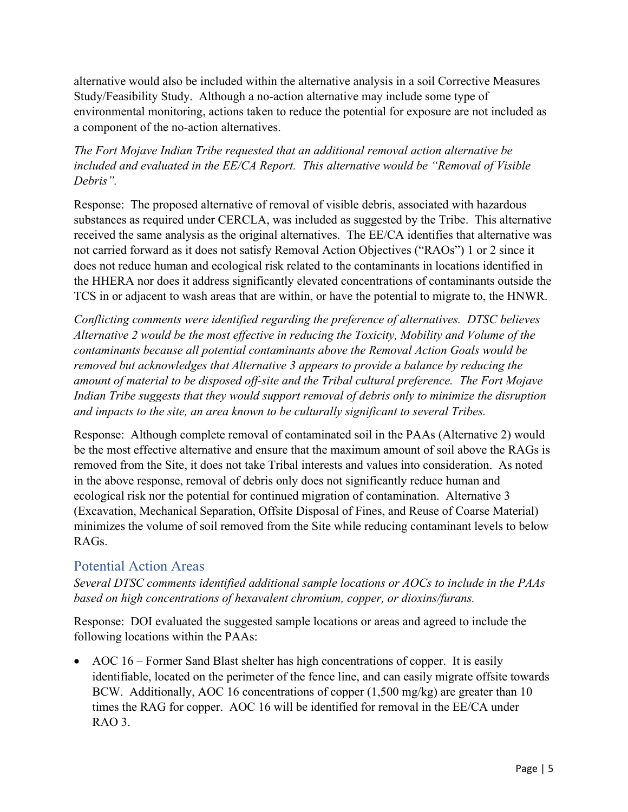alternative would also be included within the alternative analysis in a soil Corrective Measures Study/Feasibility Study. Although a no-action alternative may include some type of environmental monitoring, actions taken to reduce the potential for exposure are not included as a component of the no-action alternatives.

#### *The Fort Mojave Indian Tribe requested that an additional removal action alternative be included and evaluated in the EE/CA Report. This alternative would be "Removal of Visible Debris".*

Response: The proposed alternative of removal of visible debris, associated with hazardous substances as required under CERCLA, was included as suggested by the Tribe. This alternative received the same analysis as the original alternatives. The EE/CA identifies that alternative was not carried forward as it does not satisfy Removal Action Objectives ("RAOs") 1 or 2 since it does not reduce human and ecological risk related to the contaminants in locations identified in the HHERA nor does it address significantly elevated concentrations of contaminants outside the TCS in or adjacent to wash areas that are within, or have the potential to migrate to, the HNWR.

*Conflicting comments were identified regarding the preference of alternatives. DTSC believes Alternative 2 would be the most effective in reducing the Toxicity, Mobility and Volume of the contaminants because all potential contaminants above the Removal Action Goals would be removed but acknowledges that Alternative 3 appears to provide a balance by reducing the amount of material to be disposed off-site and the Tribal cultural preference. The Fort Mojave Indian Tribe suggests that they would support removal of debris only to minimize the disruption and impacts to the site, an area known to be culturally significant to several Tribes.*

Response: Although complete removal of contaminated soil in the PAAs (Alternative 2) would be the most effective alternative and ensure that the maximum amount of soil above the RAGs is removed from the Site, it does not take Tribal interests and values into consideration. As noted in the above response, removal of debris only does not significantly reduce human and ecological risk nor the potential for continued migration of contamination. Alternative 3 (Excavation, Mechanical Separation, Offsite Disposal of Fines, and Reuse of Coarse Material) minimizes the volume of soil removed from the Site while reducing contaminant levels to below RAGs.

#### <span id="page-8-0"></span>Potential Action Areas

*Several DTSC comments identified additional sample locations or AOCs to include in the PAAs based on high concentrations of hexavalent chromium, copper, or dioxins/furans.*

Response: DOI evaluated the suggested sample locations or areas and agreed to include the following locations within the PAAs:

• AOC 16 – Former Sand Blast shelter has high concentrations of copper. It is easily identifiable, located on the perimeter of the fence line, and can easily migrate offsite towards BCW. Additionally, AOC 16 concentrations of copper (1,500 mg/kg) are greater than 10 times the RAG for copper. AOC 16 will be identified for removal in the EE/CA under RAO 3.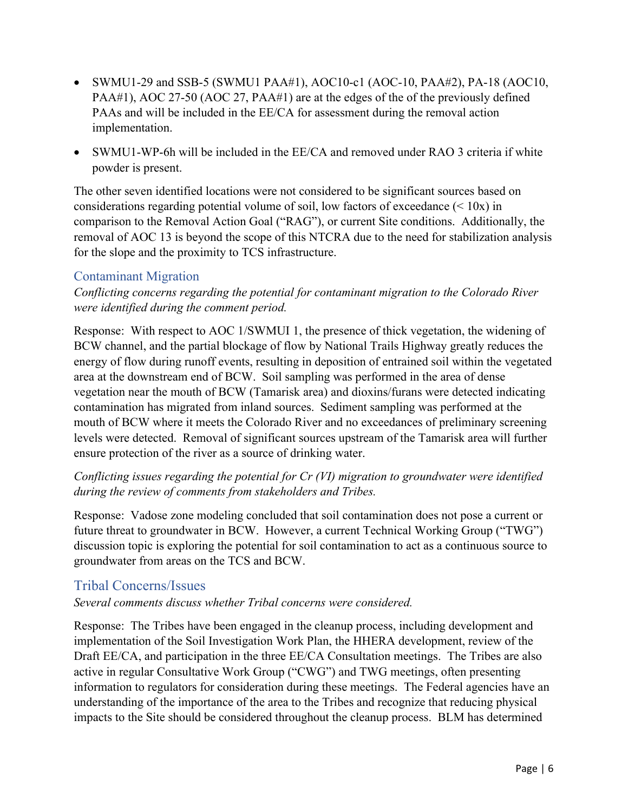- SWMU1-29 and SSB-5 (SWMU1 PAA#1), AOC10-c1 (AOC-10, PAA#2), PA-18 (AOC10, PAA#1), AOC 27-50 (AOC 27, PAA#1) are at the edges of the of the previously defined PAAs and will be included in the EE/CA for assessment during the removal action implementation.
- SWMU1-WP-6h will be included in the EE/CA and removed under RAO 3 criteria if white powder is present.

The other seven identified locations were not considered to be significant sources based on considerations regarding potential volume of soil, low factors of exceedance  $(< 10x$ ) in comparison to the Removal Action Goal ("RAG"), or current Site conditions. Additionally, the removal of AOC 13 is beyond the scope of this NTCRA due to the need for stabilization analysis for the slope and the proximity to TCS infrastructure.

#### <span id="page-9-0"></span>Contaminant Migration

*Conflicting concerns regarding the potential for contaminant migration to the Colorado River were identified during the comment period.*

Response: With respect to AOC 1/SWMUI 1, the presence of thick vegetation, the widening of BCW channel, and the partial blockage of flow by National Trails Highway greatly reduces the energy of flow during runoff events, resulting in deposition of entrained soil within the vegetated area at the downstream end of BCW. Soil sampling was performed in the area of dense vegetation near the mouth of BCW (Tamarisk area) and dioxins/furans were detected indicating contamination has migrated from inland sources. Sediment sampling was performed at the mouth of BCW where it meets the Colorado River and no exceedances of preliminary screening levels were detected. Removal of significant sources upstream of the Tamarisk area will further ensure protection of the river as a source of drinking water.

#### *Conflicting issues regarding the potential for Cr (VI) migration to groundwater were identified during the review of comments from stakeholders and Tribes.*

Response: Vadose zone modeling concluded that soil contamination does not pose a current or future threat to groundwater in BCW. However, a current Technical Working Group ("TWG") discussion topic is exploring the potential for soil contamination to act as a continuous source to groundwater from areas on the TCS and BCW.

#### <span id="page-9-1"></span>Tribal Concerns/Issues

#### *Several comments discuss whether Tribal concerns were considered.*

Response: The Tribes have been engaged in the cleanup process, including development and implementation of the Soil Investigation Work Plan, the HHERA development, review of the Draft EE/CA, and participation in the three EE/CA Consultation meetings. The Tribes are also active in regular Consultative Work Group ("CWG") and TWG meetings, often presenting information to regulators for consideration during these meetings. The Federal agencies have an understanding of the importance of the area to the Tribes and recognize that reducing physical impacts to the Site should be considered throughout the cleanup process. BLM has determined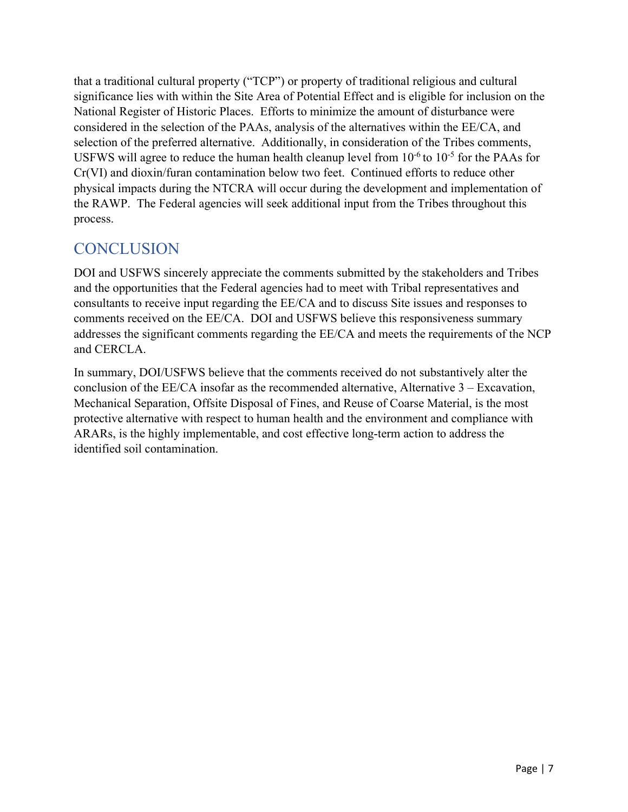that a traditional cultural property ("TCP") or property of traditional religious and cultural significance lies with within the Site Area of Potential Effect and is eligible for inclusion on the National Register of Historic Places. Efforts to minimize the amount of disturbance were considered in the selection of the PAAs, analysis of the alternatives within the EE/CA, and selection of the preferred alternative. Additionally, in consideration of the Tribes comments, USFWS will agree to reduce the human health cleanup level from  $10^{-6}$  to  $10^{-5}$  for the PAAs for Cr(VI) and dioxin/furan contamination below two feet. Continued efforts to reduce other physical impacts during the NTCRA will occur during the development and implementation of the RAWP. The Federal agencies will seek additional input from the Tribes throughout this process.

## <span id="page-10-0"></span>**CONCLUSION**

DOI and USFWS sincerely appreciate the comments submitted by the stakeholders and Tribes and the opportunities that the Federal agencies had to meet with Tribal representatives and consultants to receive input regarding the EE/CA and to discuss Site issues and responses to comments received on the EE/CA. DOI and USFWS believe this responsiveness summary addresses the significant comments regarding the EE/CA and meets the requirements of the NCP and CERCLA.

In summary, DOI/USFWS believe that the comments received do not substantively alter the conclusion of the EE/CA insofar as the recommended alternative, Alternative  $3 - Exervation$ , Mechanical Separation, Offsite Disposal of Fines, and Reuse of Coarse Material, is the most protective alternative with respect to human health and the environment and compliance with ARARs, is the highly implementable, and cost effective long-term action to address the identified soil contamination.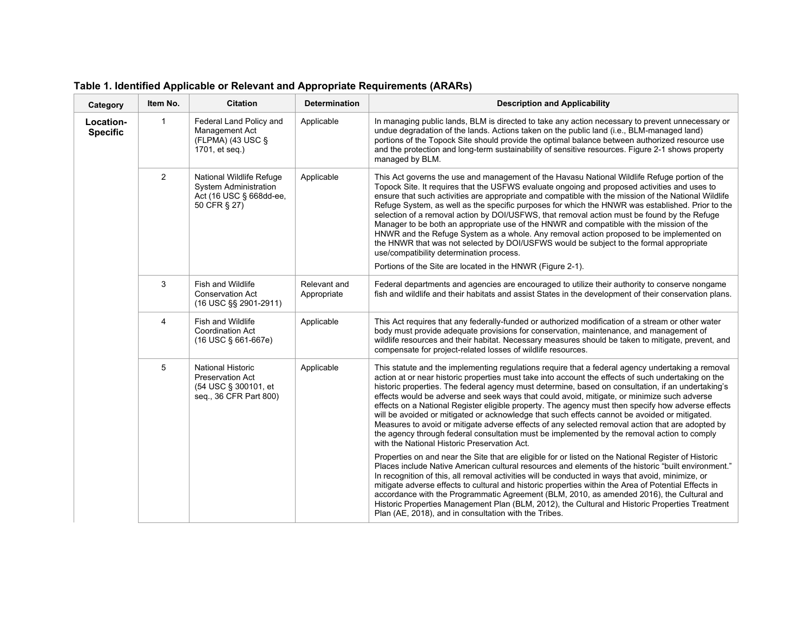| Category                     | Item No.       | <b>Citation</b>                                                                                       | <b>Determination</b>        | <b>Description and Applicability</b>                                                                                                                                                                                                                                                                                                                                                                                                                                                                                                                                                                                                                                                                                                                                                                                                                                                                |
|------------------------------|----------------|-------------------------------------------------------------------------------------------------------|-----------------------------|-----------------------------------------------------------------------------------------------------------------------------------------------------------------------------------------------------------------------------------------------------------------------------------------------------------------------------------------------------------------------------------------------------------------------------------------------------------------------------------------------------------------------------------------------------------------------------------------------------------------------------------------------------------------------------------------------------------------------------------------------------------------------------------------------------------------------------------------------------------------------------------------------------|
| Location-<br><b>Specific</b> | $\mathbf{1}$   | Federal Land Policy and<br>Management Act<br>(FLPMA) (43 USC $\S$<br>1701, et seq.)                   | Applicable                  | In managing public lands, BLM is directed to take any action necessary to prevent unnecessary or<br>undue degradation of the lands. Actions taken on the public land (i.e., BLM-managed land)<br>portions of the Topock Site should provide the optimal balance between authorized resource use<br>and the protection and long-term sustainability of sensitive resources. Figure 2-1 shows property<br>managed by BLM.                                                                                                                                                                                                                                                                                                                                                                                                                                                                             |
|                              | $\overline{2}$ | National Wildlife Refuge<br>System Administration<br>Act (16 USC § 668dd-ee,<br>50 CFR § 27)          | Applicable                  | This Act governs the use and management of the Havasu National Wildlife Refuge portion of the<br>Topock Site. It requires that the USFWS evaluate ongoing and proposed activities and uses to<br>ensure that such activities are appropriate and compatible with the mission of the National Wildlife<br>Refuge System, as well as the specific purposes for which the HNWR was established. Prior to the<br>selection of a removal action by DOI/USFWS, that removal action must be found by the Refuge<br>Manager to be both an appropriate use of the HNWR and compatible with the mission of the<br>HNWR and the Refuge System as a whole. Any removal action proposed to be implemented on<br>the HNWR that was not selected by DOI/USFWS would be subject to the formal appropriate<br>use/compatibility determination process.<br>Portions of the Site are located in the HNWR (Figure 2-1). |
|                              | 3              | Fish and Wildlife<br><b>Conservation Act</b><br>(16 USC §§ 2901-2911)                                 | Relevant and<br>Appropriate | Federal departments and agencies are encouraged to utilize their authority to conserve nongame<br>fish and wildlife and their habitats and assist States in the development of their conservation plans.                                                                                                                                                                                                                                                                                                                                                                                                                                                                                                                                                                                                                                                                                            |
|                              | 4              | Fish and Wildlife<br><b>Coordination Act</b><br>(16 USC § 661-667e)                                   | Applicable                  | This Act requires that any federally-funded or authorized modification of a stream or other water<br>body must provide adequate provisions for conservation, maintenance, and management of<br>wildlife resources and their habitat. Necessary measures should be taken to mitigate, prevent, and<br>compensate for project-related losses of wildlife resources.                                                                                                                                                                                                                                                                                                                                                                                                                                                                                                                                   |
|                              | 5              | <b>National Historic</b><br><b>Preservation Act</b><br>(54 USC § 300101, et<br>seq., 36 CFR Part 800) | Applicable                  | This statute and the implementing regulations require that a federal agency undertaking a removal<br>action at or near historic properties must take into account the effects of such undertaking on the<br>historic properties. The federal agency must determine, based on consultation, if an undertaking's<br>effects would be adverse and seek ways that could avoid, mitigate, or minimize such adverse<br>effects on a National Register eligible property. The agency must then specify how adverse effects<br>will be avoided or mitigated or acknowledge that such effects cannot be avoided or mitigated.<br>Measures to avoid or mitigate adverse effects of any selected removal action that are adopted by<br>the agency through federal consultation must be implemented by the removal action to comply<br>with the National Historic Preservation Act.                             |
|                              |                |                                                                                                       |                             | Properties on and near the Site that are eligible for or listed on the National Register of Historic<br>Places include Native American cultural resources and elements of the historic "built environment."<br>In recognition of this, all removal activities will be conducted in ways that avoid, minimize, or<br>mitigate adverse effects to cultural and historic properties within the Area of Potential Effects in<br>accordance with the Programmatic Agreement (BLM, 2010, as amended 2016), the Cultural and<br>Historic Properties Management Plan (BLM, 2012), the Cultural and Historic Properties Treatment<br>Plan (AE, 2018), and in consultation with the Tribes.                                                                                                                                                                                                                   |

**Table 1. Identified Applicable or Relevant and Appropriate Requirements (ARARs)**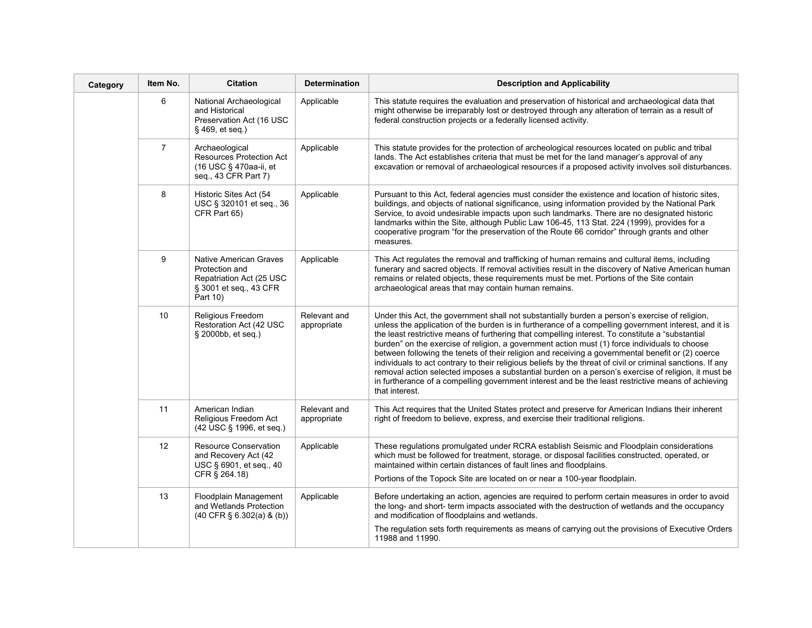| Category | Item No.       | <b>Citation</b>                                                                                            | <b>Determination</b>        | <b>Description and Applicability</b>                                                                                                                                                                                                                                                                                                                                                                                                                                                                                                                                                                                                                                                                                                                                                                                                                            |
|----------|----------------|------------------------------------------------------------------------------------------------------------|-----------------------------|-----------------------------------------------------------------------------------------------------------------------------------------------------------------------------------------------------------------------------------------------------------------------------------------------------------------------------------------------------------------------------------------------------------------------------------------------------------------------------------------------------------------------------------------------------------------------------------------------------------------------------------------------------------------------------------------------------------------------------------------------------------------------------------------------------------------------------------------------------------------|
|          | 6              | National Archaeological<br>and Historical<br>Preservation Act (16 USC<br>§ 469, et seq.)                   | Applicable                  | This statute requires the evaluation and preservation of historical and archaeological data that<br>might otherwise be irreparably lost or destroyed through any alteration of terrain as a result of<br>federal construction projects or a federally licensed activity.                                                                                                                                                                                                                                                                                                                                                                                                                                                                                                                                                                                        |
|          | $\overline{7}$ | Archaeological<br><b>Resources Protection Act</b><br>(16 USC § 470aa-ii, et<br>seq., 43 CFR Part 7)        | Applicable                  | This statute provides for the protection of archeological resources located on public and tribal<br>lands. The Act establishes criteria that must be met for the land manager's approval of any<br>excavation or removal of archaeological resources if a proposed activity involves soil disturbances.                                                                                                                                                                                                                                                                                                                                                                                                                                                                                                                                                         |
|          | 8              | Historic Sites Act (54<br>USC § 320101 et seq., 36<br>CFR Part 65)                                         | Applicable                  | Pursuant to this Act, federal agencies must consider the existence and location of historic sites,<br>buildings, and objects of national significance, using information provided by the National Park<br>Service, to avoid undesirable impacts upon such landmarks. There are no designated historic<br>landmarks within the Site, although Public Law 106-45, 113 Stat. 224 (1999), provides for a<br>cooperative program "for the preservation of the Route 66 corridor" through grants and other<br>measures.                                                                                                                                                                                                                                                                                                                                               |
|          | 9              | Native American Graves<br>Protection and<br>Repatriation Act (25 USC<br>§ 3001 et seq., 43 CFR<br>Part 10) | Applicable                  | This Act regulates the removal and trafficking of human remains and cultural items, including<br>funerary and sacred objects. If removal activities result in the discovery of Native American human<br>remains or related objects, these requirements must be met. Portions of the Site contain<br>archaeological areas that may contain human remains.                                                                                                                                                                                                                                                                                                                                                                                                                                                                                                        |
|          | 10             | Religious Freedom<br>Restoration Act (42 USC<br>§ 2000bb, et seq.)                                         | Relevant and<br>appropriate | Under this Act, the government shall not substantially burden a person's exercise of religion,<br>unless the application of the burden is in furtherance of a compelling government interest, and it is<br>the least restrictive means of furthering that compelling interest. To constitute a "substantial<br>burden" on the exercise of religion, a government action must (1) force individuals to choose<br>between following the tenets of their religion and receiving a governmental benefit or (2) coerce<br>individuals to act contrary to their religious beliefs by the threat of civil or criminal sanctions. If any<br>removal action selected imposes a substantial burden on a person's exercise of religion, it must be<br>in furtherance of a compelling government interest and be the least restrictive means of achieving<br>that interest. |
|          | 11             | American Indian<br>Religious Freedom Act<br>(42 USC § 1996, et seq.)                                       | Relevant and<br>appropriate | This Act requires that the United States protect and preserve for American Indians their inherent<br>right of freedom to believe, express, and exercise their traditional religions.                                                                                                                                                                                                                                                                                                                                                                                                                                                                                                                                                                                                                                                                            |
|          | 12             | Resource Conservation<br>and Recovery Act (42<br>USC § 6901, et seq., 40<br>CFR § 264.18)                  | Applicable                  | These regulations promulgated under RCRA establish Seismic and Floodplain considerations<br>which must be followed for treatment, storage, or disposal facilities constructed, operated, or<br>maintained within certain distances of fault lines and floodplains.<br>Portions of the Topock Site are located on or near a 100-year floodplain.                                                                                                                                                                                                                                                                                                                                                                                                                                                                                                                 |
|          | 13             | Floodplain Management<br>and Wetlands Protection<br>$(40$ CFR § 6.302(a) & (b))                            | Applicable                  | Before undertaking an action, agencies are required to perform certain measures in order to avoid<br>the long- and short- term impacts associated with the destruction of wetlands and the occupancy<br>and modification of floodplains and wetlands.<br>The regulation sets forth requirements as means of carrying out the provisions of Executive Orders<br>11988 and 11990.                                                                                                                                                                                                                                                                                                                                                                                                                                                                                 |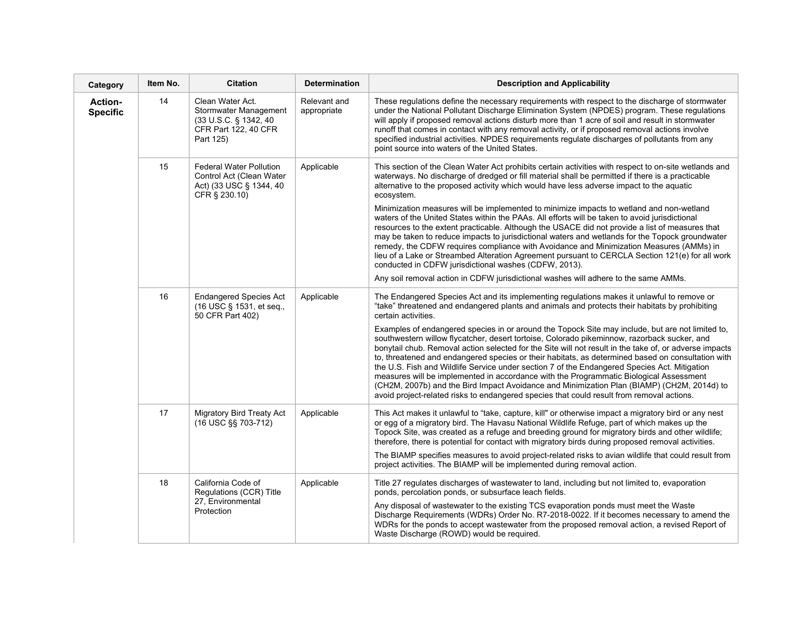| Category                          | Item No. | <b>Citation</b>                                                                                                 | <b>Determination</b>        | <b>Description and Applicability</b>                                                                                                                                                                                                                                                                                                                                                                                                                                                                                                                                                                                                                                                                                                                                                                |
|-----------------------------------|----------|-----------------------------------------------------------------------------------------------------------------|-----------------------------|-----------------------------------------------------------------------------------------------------------------------------------------------------------------------------------------------------------------------------------------------------------------------------------------------------------------------------------------------------------------------------------------------------------------------------------------------------------------------------------------------------------------------------------------------------------------------------------------------------------------------------------------------------------------------------------------------------------------------------------------------------------------------------------------------------|
| <b>Action-</b><br><b>Specific</b> | 14       | Clean Water Act.<br>Stormwater Management<br>(33 U.S.C. § 1342, 40)<br><b>CFR Part 122, 40 CFR</b><br>Part 125) | Relevant and<br>appropriate | These regulations define the necessary reguirements with respect to the discharge of stormwater<br>under the National Pollutant Discharge Elimination System (NPDES) program. These regulations<br>will apply if proposed removal actions disturb more than 1 acre of soil and result in stormwater<br>runoff that comes in contact with any removal activity, or if proposed removal actions involve<br>specified industrial activities. NPDES requirements regulate discharges of pollutants from any<br>point source into waters of the United States.                                                                                                                                                                                                                                           |
|                                   | 15       | <b>Federal Water Pollution</b><br>Control Act (Clean Water<br>Act) (33 USC § 1344, 40<br>CFR § 230.10)          | Applicable                  | This section of the Clean Water Act prohibits certain activities with respect to on-site wetlands and<br>waterways. No discharge of dredged or fill material shall be permitted if there is a practicable<br>alternative to the proposed activity which would have less adverse impact to the aquatic<br>ecosystem.                                                                                                                                                                                                                                                                                                                                                                                                                                                                                 |
|                                   |          |                                                                                                                 |                             | Minimization measures will be implemented to minimize impacts to wetland and non-wetland<br>waters of the United States within the PAAs. All efforts will be taken to avoid jurisdictional<br>resources to the extent practicable. Although the USACE did not provide a list of measures that<br>may be taken to reduce impacts to jurisdictional waters and wetlands for the Topock groundwater<br>remedy, the CDFW requires compliance with Avoidance and Minimization Measures (AMMs) in<br>lieu of a Lake or Streambed Alteration Agreement pursuant to CERCLA Section 121(e) for all work<br>conducted in CDFW jurisdictional washes (CDFW, 2013).                                                                                                                                             |
|                                   |          |                                                                                                                 |                             | Any soil removal action in CDFW jurisdictional washes will adhere to the same AMMs.                                                                                                                                                                                                                                                                                                                                                                                                                                                                                                                                                                                                                                                                                                                 |
|                                   | 16       | <b>Endangered Species Act</b><br>(16 USC § 1531, et seq.,<br>50 CFR Part 402)                                   | Applicable                  | The Endangered Species Act and its implementing regulations makes it unlawful to remove or<br>"take" threatened and endangered plants and animals and protects their habitats by prohibiting<br>certain activities.                                                                                                                                                                                                                                                                                                                                                                                                                                                                                                                                                                                 |
|                                   |          |                                                                                                                 |                             | Examples of endangered species in or around the Topock Site may include, but are not limited to,<br>southwestern willow flycatcher, desert tortoise, Colorado pikeminnow, razorback sucker, and<br>bonytail chub. Removal action selected for the Site will not result in the take of, or adverse impacts<br>to, threatened and endangered species or their habitats, as determined based on consultation with<br>the U.S. Fish and Wildlife Service under section 7 of the Endangered Species Act. Mitigation<br>measures will be implemented in accordance with the Programmatic Biological Assessment<br>(CH2M, 2007b) and the Bird Impact Avoidance and Minimization Plan (BIAMP) (CH2M, 2014d) to<br>avoid project-related risks to endangered species that could result from removal actions. |
|                                   | 17       | <b>Migratory Bird Treaty Act</b><br>(16 USC §§ 703-712)                                                         | Applicable                  | This Act makes it unlawful to "take, capture, kill" or otherwise impact a migratory bird or any nest<br>or egg of a migratory bird. The Havasu National Wildlife Refuge, part of which makes up the<br>Topock Site, was created as a refuge and breeding ground for migratory birds and other wildlife;<br>therefore, there is potential for contact with migratory birds during proposed removal activities.<br>The BIAMP specifies measures to avoid project-related risks to avian wildlife that could result from                                                                                                                                                                                                                                                                               |
|                                   |          |                                                                                                                 |                             | project activities. The BIAMP will be implemented during removal action.                                                                                                                                                                                                                                                                                                                                                                                                                                                                                                                                                                                                                                                                                                                            |
|                                   | 18       | California Code of<br>Regulations (CCR) Title                                                                   | Applicable                  | Title 27 regulates discharges of wastewater to land, including but not limited to, evaporation<br>ponds, percolation ponds, or subsurface leach fields.                                                                                                                                                                                                                                                                                                                                                                                                                                                                                                                                                                                                                                             |
|                                   |          | 27, Environmental<br>Protection                                                                                 |                             | Any disposal of wastewater to the existing TCS evaporation ponds must meet the Waste<br>Discharge Requirements (WDRs) Order No. R7-2018-0022. If it becomes necessary to amend the<br>WDRs for the ponds to accept wastewater from the proposed removal action, a revised Report of<br>Waste Discharge (ROWD) would be required.                                                                                                                                                                                                                                                                                                                                                                                                                                                                    |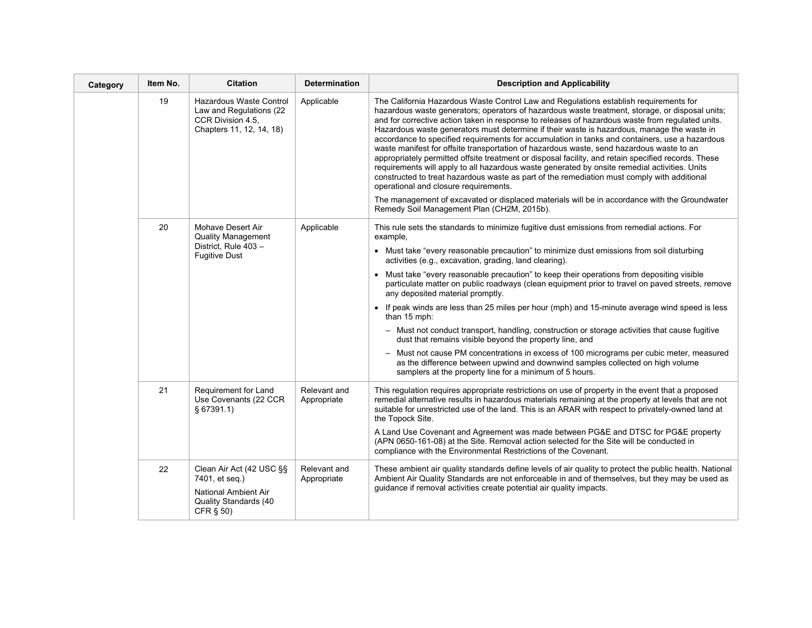| Category | Item No. | <b>Citation</b>                                                                                                    | <b>Determination</b>        | <b>Description and Applicability</b>                                                                                                                                                                                                                                                                                                                                                                                                                                                                                                                                                                                                                                                                                                                                                                                                                                                                                                                                                                                                      |
|----------|----------|--------------------------------------------------------------------------------------------------------------------|-----------------------------|-------------------------------------------------------------------------------------------------------------------------------------------------------------------------------------------------------------------------------------------------------------------------------------------------------------------------------------------------------------------------------------------------------------------------------------------------------------------------------------------------------------------------------------------------------------------------------------------------------------------------------------------------------------------------------------------------------------------------------------------------------------------------------------------------------------------------------------------------------------------------------------------------------------------------------------------------------------------------------------------------------------------------------------------|
|          | 19       | Hazardous Waste Control<br>Law and Regulations (22<br>CCR Division 4.5,<br>Chapters 11, 12, 14, 18)                | Applicable                  | The California Hazardous Waste Control Law and Regulations establish requirements for<br>hazardous waste generators; operators of hazardous waste treatment, storage, or disposal units;<br>and for corrective action taken in response to releases of hazardous waste from requlated units.<br>Hazardous waste generators must determine if their waste is hazardous, manage the waste in<br>accordance to specified requirements for accumulation in tanks and containers, use a hazardous<br>waste manifest for offsite transportation of hazardous waste, send hazardous waste to an<br>appropriately permitted offsite treatment or disposal facility, and retain specified records. These<br>requirements will apply to all hazardous waste generated by onsite remedial activities. Units<br>constructed to treat hazardous waste as part of the remediation must comply with additional<br>operational and closure requirements.<br>The management of excavated or displaced materials will be in accordance with the Groundwater |
|          |          |                                                                                                                    |                             | Remedy Soil Management Plan (CH2M, 2015b).                                                                                                                                                                                                                                                                                                                                                                                                                                                                                                                                                                                                                                                                                                                                                                                                                                                                                                                                                                                                |
|          | 20       | Mohave Desert Air<br><b>Quality Management</b>                                                                     | Applicable                  | This rule sets the standards to minimize fugitive dust emissions from remedial actions. For<br>example,                                                                                                                                                                                                                                                                                                                                                                                                                                                                                                                                                                                                                                                                                                                                                                                                                                                                                                                                   |
|          |          | District, Rule 403 -<br><b>Fugitive Dust</b>                                                                       |                             | • Must take "every reasonable precaution" to minimize dust emissions from soil disturbing<br>activities (e.g., excavation, grading, land clearing).                                                                                                                                                                                                                                                                                                                                                                                                                                                                                                                                                                                                                                                                                                                                                                                                                                                                                       |
|          |          |                                                                                                                    |                             | • Must take "every reasonable precaution" to keep their operations from depositing visible<br>particulate matter on public roadways (clean equipment prior to travel on paved streets, remove<br>any deposited material promptly.                                                                                                                                                                                                                                                                                                                                                                                                                                                                                                                                                                                                                                                                                                                                                                                                         |
|          |          |                                                                                                                    |                             | • If peak winds are less than 25 miles per hour (mph) and 15-minute average wind speed is less<br>than 15 mph:                                                                                                                                                                                                                                                                                                                                                                                                                                                                                                                                                                                                                                                                                                                                                                                                                                                                                                                            |
|          |          |                                                                                                                    |                             | - Must not conduct transport, handling, construction or storage activities that cause fugitive<br>dust that remains visible beyond the property line, and                                                                                                                                                                                                                                                                                                                                                                                                                                                                                                                                                                                                                                                                                                                                                                                                                                                                                 |
|          |          |                                                                                                                    |                             | - Must not cause PM concentrations in excess of 100 micrograms per cubic meter, measured<br>as the difference between upwind and downwind samples collected on high volume<br>samplers at the property line for a minimum of 5 hours.                                                                                                                                                                                                                                                                                                                                                                                                                                                                                                                                                                                                                                                                                                                                                                                                     |
|          | 21       | Requirement for Land<br>Use Covenants (22 CCR<br>§ 67391.1)                                                        | Relevant and<br>Appropriate | This regulation requires appropriate restrictions on use of property in the event that a proposed<br>remedial alternative results in hazardous materials remaining at the property at levels that are not<br>suitable for unrestricted use of the land. This is an ARAR with respect to privately-owned land at<br>the Topock Site.                                                                                                                                                                                                                                                                                                                                                                                                                                                                                                                                                                                                                                                                                                       |
|          |          |                                                                                                                    |                             | A Land Use Covenant and Agreement was made between PG&E and DTSC for PG&E property<br>(APN 0650-161-08) at the Site. Removal action selected for the Site will be conducted in<br>compliance with the Environmental Restrictions of the Covenant.                                                                                                                                                                                                                                                                                                                                                                                                                                                                                                                                                                                                                                                                                                                                                                                         |
|          | 22       | Clean Air Act (42 USC §§<br>7401, et seq.)<br><b>National Ambient Air</b><br>Quality Standards (40<br>CFR $\S$ 50) | Relevant and<br>Appropriate | These ambient air quality standards define levels of air quality to protect the public health. National<br>Ambient Air Quality Standards are not enforceable in and of themselves, but they may be used as<br>guidance if removal activities create potential air quality impacts.                                                                                                                                                                                                                                                                                                                                                                                                                                                                                                                                                                                                                                                                                                                                                        |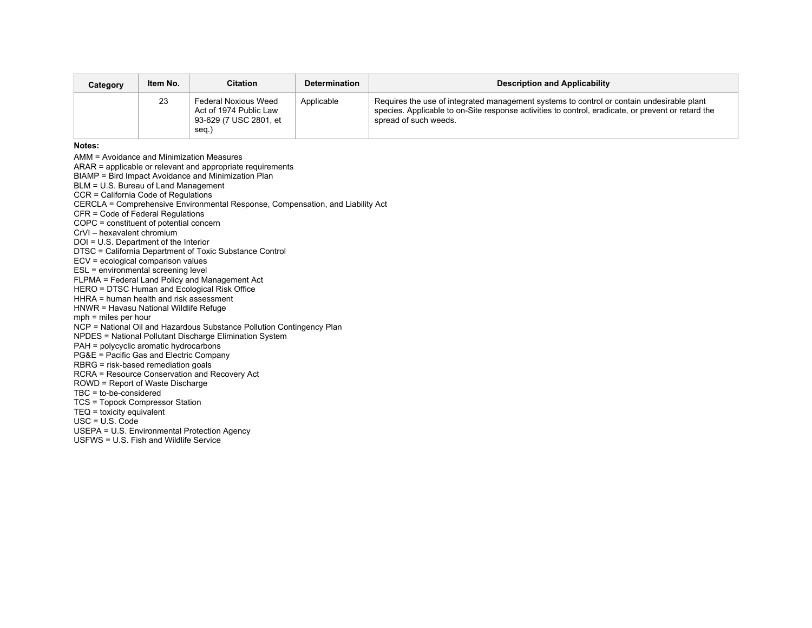| Category | Item No. | <b>Citation</b>                                                                   | <b>Determination</b> | <b>Description and Applicability</b>                                                                                                                                                                                     |
|----------|----------|-----------------------------------------------------------------------------------|----------------------|--------------------------------------------------------------------------------------------------------------------------------------------------------------------------------------------------------------------------|
|          | 23       | Federal Noxious Weed<br>Act of 1974 Public Law<br>93-629 (7 USC 2801, et<br>seq.) | Applicable           | Requires the use of integrated management systems to control or contain undesirable plant<br>species. Applicable to on-Site response activities to control, eradicate, or prevent or retard the<br>spread of such weeds. |

**Notes:** 

AMM = Avoidance and Minimization Measures ARAR = applicable or relevant and appropriate requirements

BIAMP = Bird Impact Avoidance and Minimization Plan

BLM = U.S. Bureau of Land Management

CCR = California Code of Regulations

CERCLA = Comprehensive Environmental Response, Compensation, and Liability Act

CFR = Code of Federal Regulations

COPC = constituent of potential concern

CrVI – hexavalent chromium

DOI = U.S. Department of the Interior

DTSC = California Department of Toxic Substance Control

ECV = ecological comparison values

ESL = environmental screening level

FLPMA = Federal Land Policy and Management Act

HERO = DTSC Human and Ecological Risk Office HHRA = human health and risk assessment

HNWR = Havasu National Wildlife Refuge

mph = miles per hour

NCP = National Oil and Hazardous Substance Pollution Contingency Plan

NPDES = National Pollutant Discharge Elimination System

PAH = polycyclic aromatic hydrocarbons

PG&E = Pacific Gas and Electric Company

RBRG = risk-based remediation goals

RCRA = Resource Conservation and Recovery Act

ROWD = Report of Waste Discharge

TBC = to-be-considered

TCS = Topock Compressor Station TEQ = toxicity equivalent

USC = U.S. Code

USEPA = U.S. Environmental Protection Agency

USFWS = U.S. Fish and Wildlife Service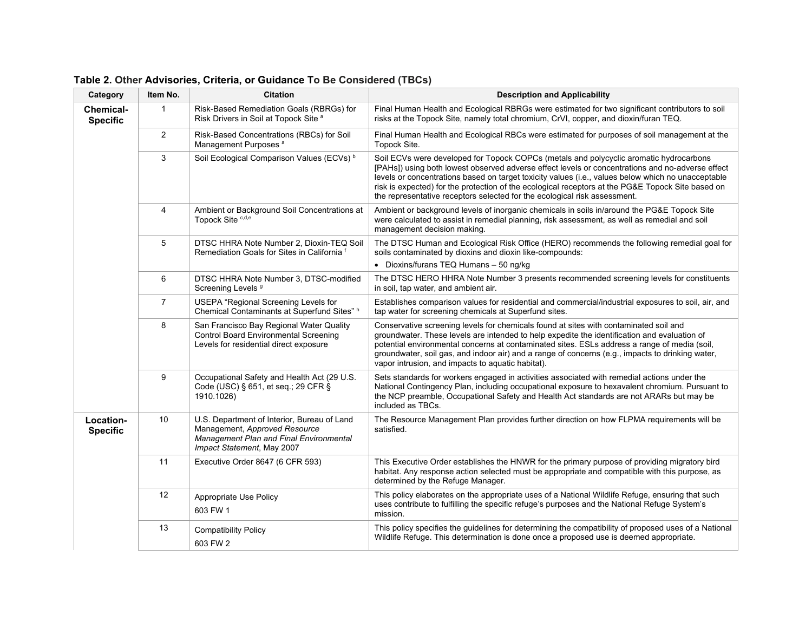| Category                            | Item No.        | <b>Citation</b>                                                                                                                                       | <b>Description and Applicability</b>                                                                                                                                                                                                                                                                                                                                                                                                                                               |
|-------------------------------------|-----------------|-------------------------------------------------------------------------------------------------------------------------------------------------------|------------------------------------------------------------------------------------------------------------------------------------------------------------------------------------------------------------------------------------------------------------------------------------------------------------------------------------------------------------------------------------------------------------------------------------------------------------------------------------|
| <b>Chemical-</b><br><b>Specific</b> | $\mathbf{1}$    | Risk-Based Remediation Goals (RBRGs) for<br>Risk Drivers in Soil at Topock Site a                                                                     | Final Human Health and Ecological RBRGs were estimated for two significant contributors to soil<br>risks at the Topock Site, namely total chromium, CrVI, copper, and dioxin/furan TEQ.                                                                                                                                                                                                                                                                                            |
|                                     | $\overline{2}$  | Risk-Based Concentrations (RBCs) for Soil<br>Management Purposes <sup>a</sup>                                                                         | Final Human Health and Ecological RBCs were estimated for purposes of soil management at the<br>Topock Site.                                                                                                                                                                                                                                                                                                                                                                       |
|                                     | 3               | Soil Ecological Comparison Values (ECVs) <sup>b</sup>                                                                                                 | Soil ECVs were developed for Topock COPCs (metals and polycyclic aromatic hydrocarbons<br>[PAHs]) using both lowest observed adverse effect levels or concentrations and no-adverse effect<br>levels or concentrations based on target toxicity values (i.e., values below which no unacceptable<br>risk is expected) for the protection of the ecological receptors at the PG&E Topock Site based on<br>the representative receptors selected for the ecological risk assessment. |
|                                     | 4               | Ambient or Background Soil Concentrations at<br>Topock Site c,d,e                                                                                     | Ambient or background levels of inorganic chemicals in soils in/around the PG&E Topock Site<br>were calculated to assist in remedial planning, risk assessment, as well as remedial and soil<br>management decision making.                                                                                                                                                                                                                                                        |
|                                     | 5               | DTSC HHRA Note Number 2, Dioxin-TEQ Soil<br>Remediation Goals for Sites in California <sup>f</sup>                                                    | The DTSC Human and Ecological Risk Office (HERO) recommends the following remedial goal for<br>soils contaminated by dioxins and dioxin like-compounds:<br>• Dioxins/furans TEQ Humans - 50 ng/kg                                                                                                                                                                                                                                                                                  |
|                                     | 6               | DTSC HHRA Note Number 3, DTSC-modified<br>Screening Levels <sup>9</sup>                                                                               | The DTSC HERO HHRA Note Number 3 presents recommended screening levels for constituents<br>in soil, tap water, and ambient air.                                                                                                                                                                                                                                                                                                                                                    |
|                                     | $\overline{7}$  | <b>USEPA</b> "Regional Screening Levels for<br>Chemical Contaminants at Superfund Sites" h                                                            | Establishes comparison values for residential and commercial/industrial exposures to soil, air, and<br>tap water for screening chemicals at Superfund sites.                                                                                                                                                                                                                                                                                                                       |
|                                     | 8               | San Francisco Bay Regional Water Quality<br><b>Control Board Environmental Screening</b><br>Levels for residential direct exposure                    | Conservative screening levels for chemicals found at sites with contaminated soil and<br>groundwater. These levels are intended to help expedite the identification and evaluation of<br>potential environmental concerns at contaminated sites. ESLs address a range of media (soil,<br>groundwater, soil gas, and indoor air) and a range of concerns (e.g., impacts to drinking water,<br>vapor intrusion, and impacts to aquatic habitat).                                     |
|                                     | 9               | Occupational Safety and Health Act (29 U.S.<br>Code (USC) § 651, et seq.; 29 CFR §<br>1910.1026)                                                      | Sets standards for workers engaged in activities associated with remedial actions under the<br>National Contingency Plan, including occupational exposure to hexavalent chromium. Pursuant to<br>the NCP preamble, Occupational Safety and Health Act standards are not ARARs but may be<br>included as TBCs.                                                                                                                                                                      |
| Location-<br><b>Specific</b>        | 10 <sup>°</sup> | U.S. Department of Interior, Bureau of Land<br>Management, Approved Resource<br>Management Plan and Final Environmental<br>Impact Statement, May 2007 | The Resource Management Plan provides further direction on how FLPMA requirements will be<br>satisfied.                                                                                                                                                                                                                                                                                                                                                                            |
|                                     | 11              | Executive Order 8647 (6 CFR 593)                                                                                                                      | This Executive Order establishes the HNWR for the primary purpose of providing migratory bird<br>habitat. Any response action selected must be appropriate and compatible with this purpose, as<br>determined by the Refuge Manager.                                                                                                                                                                                                                                               |
|                                     | 12              | Appropriate Use Policy<br>603 FW 1                                                                                                                    | This policy elaborates on the appropriate uses of a National Wildlife Refuge, ensuring that such<br>uses contribute to fulfilling the specific refuge's purposes and the National Refuge System's<br>mission.                                                                                                                                                                                                                                                                      |
|                                     | 13              | <b>Compatibility Policy</b><br>603 FW 2                                                                                                               | This policy specifies the guidelines for determining the compatibility of proposed uses of a National<br>Wildlife Refuge. This determination is done once a proposed use is deemed appropriate.                                                                                                                                                                                                                                                                                    |

**Table 2. Other Advisories, Criteria, or Guidance To Be Considered (TBCs)**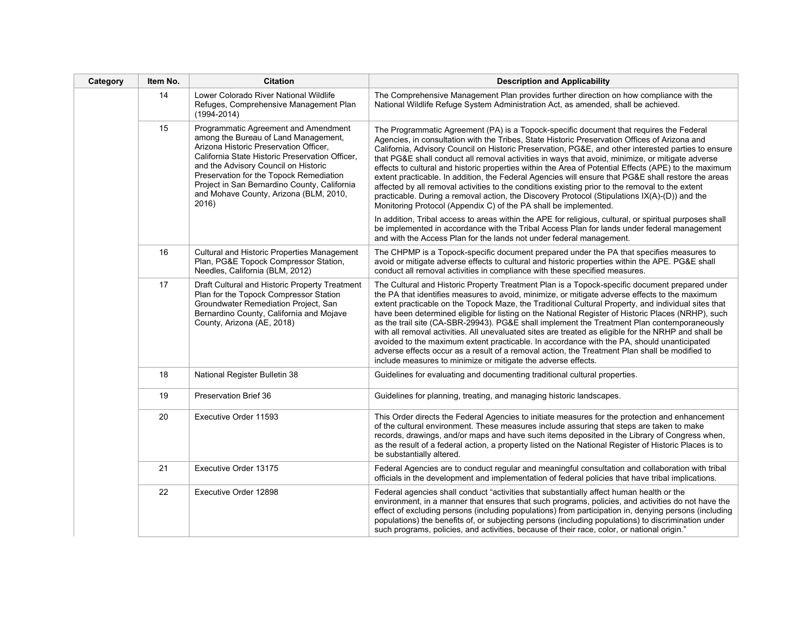| Category | <b>Citation</b><br>Item No. |                                                                                                                                                                                                                                                                                                                                                                 | <b>Description and Applicability</b>                                                                                                                                                                                                                                                                                                                                                                                                                                                                                                                                                                                                                                                                                                                                                                                                                                                         |
|----------|-----------------------------|-----------------------------------------------------------------------------------------------------------------------------------------------------------------------------------------------------------------------------------------------------------------------------------------------------------------------------------------------------------------|----------------------------------------------------------------------------------------------------------------------------------------------------------------------------------------------------------------------------------------------------------------------------------------------------------------------------------------------------------------------------------------------------------------------------------------------------------------------------------------------------------------------------------------------------------------------------------------------------------------------------------------------------------------------------------------------------------------------------------------------------------------------------------------------------------------------------------------------------------------------------------------------|
|          | 14                          | Lower Colorado River National Wildlife<br>Refuges, Comprehensive Management Plan<br>$(1994 - 2014)$                                                                                                                                                                                                                                                             | The Comprehensive Management Plan provides further direction on how compliance with the<br>National Wildlife Refuge System Administration Act, as amended, shall be achieved.                                                                                                                                                                                                                                                                                                                                                                                                                                                                                                                                                                                                                                                                                                                |
|          | 15                          | Programmatic Agreement and Amendment<br>among the Bureau of Land Management,<br>Arizona Historic Preservation Officer,<br>California State Historic Preservation Officer,<br>and the Advisory Council on Historic<br>Preservation for the Topock Remediation<br>Project in San Bernardino County, California<br>and Mohave County, Arizona (BLM, 2010,<br>2016) | The Programmatic Agreement (PA) is a Topock-specific document that requires the Federal<br>Agencies, in consultation with the Tribes, State Historic Preservation Offices of Arizona and<br>California, Advisory Council on Historic Preservation, PG&E, and other interested parties to ensure<br>that PG&E shall conduct all removal activities in ways that avoid, minimize, or mitigate adverse<br>effects to cultural and historic properties within the Area of Potential Effects (APE) to the maximum<br>extent practicable. In addition, the Federal Agencies will ensure that PG&E shall restore the areas<br>affected by all removal activities to the conditions existing prior to the removal to the extent<br>practicable. During a removal action, the Discovery Protocol (Stipulations IX(A)-(D)) and the<br>Monitoring Protocol (Appendix C) of the PA shall be implemented. |
|          |                             |                                                                                                                                                                                                                                                                                                                                                                 | In addition, Tribal access to areas within the APE for religious, cultural, or spiritual purposes shall<br>be implemented in accordance with the Tribal Access Plan for lands under federal management<br>and with the Access Plan for the lands not under federal management.                                                                                                                                                                                                                                                                                                                                                                                                                                                                                                                                                                                                               |
|          | 16                          | Cultural and Historic Properties Management<br>Plan, PG&E Topock Compressor Station,<br>Needles, California (BLM, 2012)                                                                                                                                                                                                                                         | The CHPMP is a Topock-specific document prepared under the PA that specifies measures to<br>avoid or mitigate adverse effects to cultural and historic properties within the APE. PG&E shall<br>conduct all removal activities in compliance with these specified measures.                                                                                                                                                                                                                                                                                                                                                                                                                                                                                                                                                                                                                  |
|          | 17                          | Draft Cultural and Historic Property Treatment<br>Plan for the Topock Compressor Station<br>Groundwater Remediation Project, San<br>Bernardino County, California and Mojave<br>County, Arizona (AE, 2018)                                                                                                                                                      | The Cultural and Historic Property Treatment Plan is a Topock-specific document prepared under<br>the PA that identifies measures to avoid, minimize, or mitigate adverse effects to the maximum<br>extent practicable on the Topock Maze, the Traditional Cultural Property, and individual sites that<br>have been determined eligible for listing on the National Register of Historic Places (NRHP), such<br>as the trail site (CA-SBR-29943). PG&E shall implement the Treatment Plan contemporaneously<br>with all removal activities. All unevaluated sites are treated as eligible for the NRHP and shall be<br>avoided to the maximum extent practicable. In accordance with the PA, should unanticipated<br>adverse effects occur as a result of a removal action, the Treatment Plan shall be modified to<br>include measures to minimize or mitigate the adverse effects.        |
|          | 18                          | National Register Bulletin 38                                                                                                                                                                                                                                                                                                                                   | Guidelines for evaluating and documenting traditional cultural properties.                                                                                                                                                                                                                                                                                                                                                                                                                                                                                                                                                                                                                                                                                                                                                                                                                   |
|          | 19                          | <b>Preservation Brief 36</b>                                                                                                                                                                                                                                                                                                                                    | Guidelines for planning, treating, and managing historic landscapes.                                                                                                                                                                                                                                                                                                                                                                                                                                                                                                                                                                                                                                                                                                                                                                                                                         |
|          | 20                          | Executive Order 11593                                                                                                                                                                                                                                                                                                                                           | This Order directs the Federal Agencies to initiate measures for the protection and enhancement<br>of the cultural environment. These measures include assuring that steps are taken to make<br>records, drawings, and/or maps and have such items deposited in the Library of Congress when,<br>as the result of a federal action, a property listed on the National Register of Historic Places is to<br>be substantially altered.                                                                                                                                                                                                                                                                                                                                                                                                                                                         |
|          | 21                          | Executive Order 13175                                                                                                                                                                                                                                                                                                                                           | Federal Agencies are to conduct regular and meaningful consultation and collaboration with tribal<br>officials in the development and implementation of federal policies that have tribal implications.                                                                                                                                                                                                                                                                                                                                                                                                                                                                                                                                                                                                                                                                                      |
|          | 22                          | Executive Order 12898                                                                                                                                                                                                                                                                                                                                           | Federal agencies shall conduct "activities that substantially affect human health or the<br>environment, in a manner that ensures that such programs, policies, and activities do not have the<br>effect of excluding persons (including populations) from participation in, denying persons (including<br>populations) the benefits of, or subjecting persons (including populations) to discrimination under<br>such programs, policies, and activities, because of their race, color, or national origin."                                                                                                                                                                                                                                                                                                                                                                                |